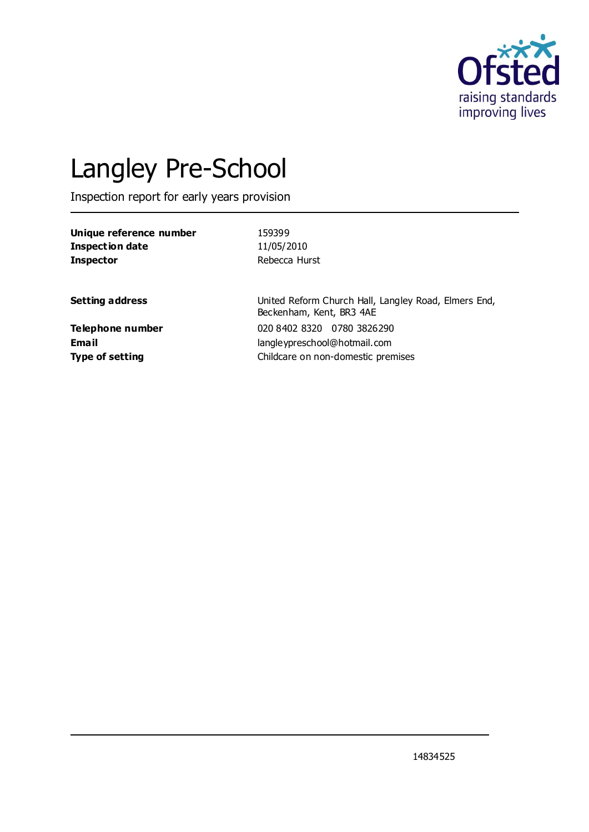

# Langley Pre-School

Inspection report for early years provision

| Unique reference number | 159399                                                                           |
|-------------------------|----------------------------------------------------------------------------------|
| <b>Inspection date</b>  | 11/05/2010                                                                       |
| <b>Inspector</b>        | Rebecca Hurst                                                                    |
| <b>Setting address</b>  | United Reform Church Hall, Langley Road, Elmers End,<br>Beckenham, Kent, BR3 4AE |
| <b>Telephone number</b> | 020 8402 8320 0780 3826290                                                       |
| Email                   | langleypreschool@hotmail.com                                                     |
| <b>Type of setting</b>  | Childcare on non-domestic premises                                               |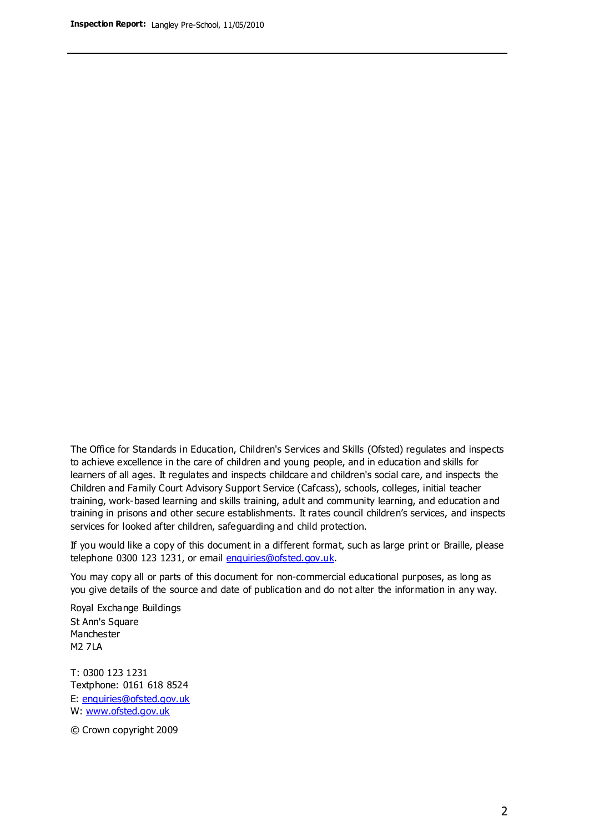The Office for Standards in Education, Children's Services and Skills (Ofsted) regulates and inspects to achieve excellence in the care of children and young people, and in education and skills for learners of all ages. It regulates and inspects childcare and children's social care, and inspects the Children and Family Court Advisory Support Service (Cafcass), schools, colleges, initial teacher training, work-based learning and skills training, adult and community learning, and education and training in prisons and other secure establishments. It rates council children's services, and inspects services for looked after children, safeguarding and child protection.

If you would like a copy of this document in a different format, such as large print or Braille, please telephone 0300 123 1231, or email enquiries@ofsted.gov.uk.

You may copy all or parts of this document for non-commercial educational purposes, as long as you give details of the source and date of publication and do not alter the information in any way.

Royal Exchange Buildings St Ann's Square Manchester M2 7LA

T: 0300 123 1231 Textphone: 0161 618 8524 E: enquiries@ofsted.gov.uk W: [www.ofsted.gov.uk](http://www.ofsted.gov.uk/)

© Crown copyright 2009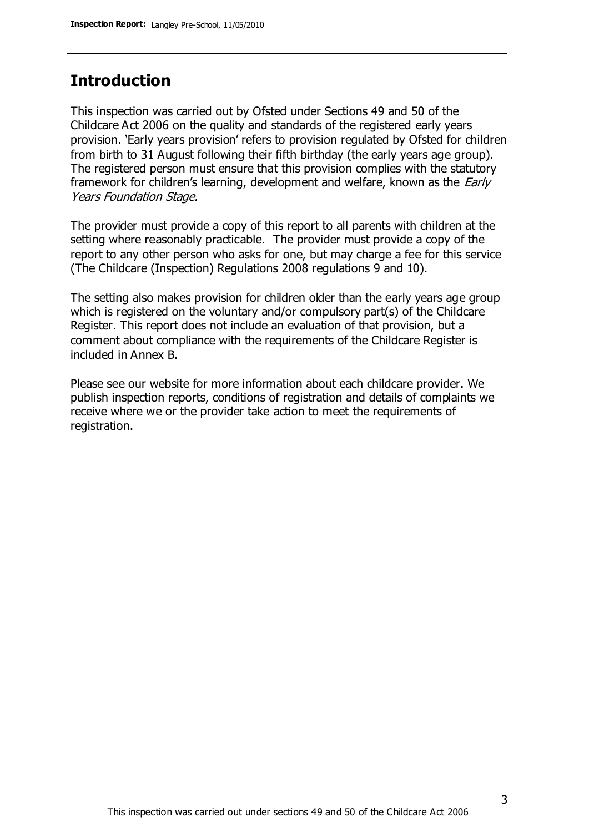# **Introduction**

This inspection was carried out by Ofsted under Sections 49 and 50 of the Childcare Act 2006 on the quality and standards of the registered early years provision. 'Early years provision' refers to provision regulated by Ofsted for children from birth to 31 August following their fifth birthday (the early years age group). The registered person must ensure that this provision complies with the statutory framework for children's learning, development and welfare, known as the *Early* Years Foundation Stage.

The provider must provide a copy of this report to all parents with children at the setting where reasonably practicable. The provider must provide a copy of the report to any other person who asks for one, but may charge a fee for this service (The Childcare (Inspection) Regulations 2008 regulations 9 and 10).

The setting also makes provision for children older than the early years age group which is registered on the voluntary and/or compulsory part(s) of the Childcare Register. This report does not include an evaluation of that provision, but a comment about compliance with the requirements of the Childcare Register is included in Annex B.

Please see our website for more information about each childcare provider. We publish inspection reports, conditions of registration and details of complaints we receive where we or the provider take action to meet the requirements of registration.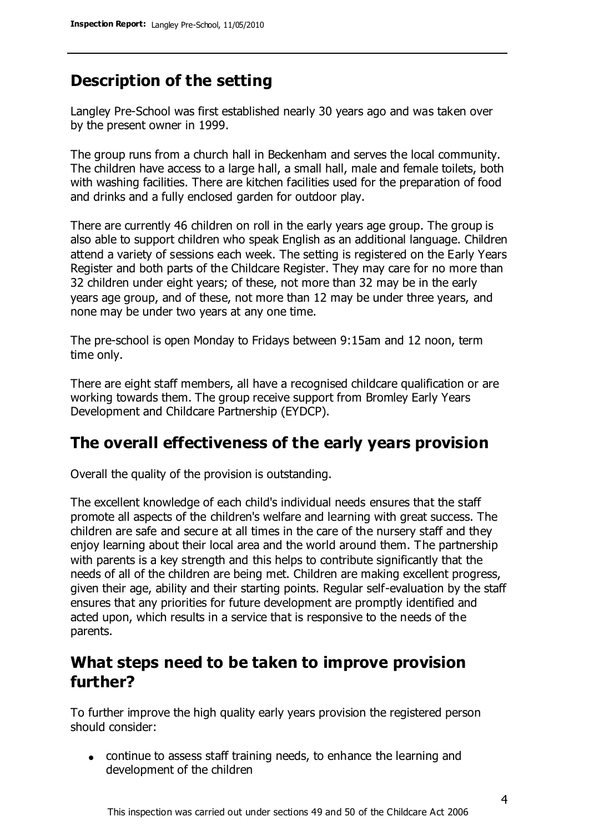# **Description of the setting**

Langley Pre-School was first established nearly 30 years ago and was taken over by the present owner in 1999.

The group runs from a church hall in Beckenham and serves the local community. The children have access to a large hall, a small hall, male and female toilets, both with washing facilities. There are kitchen facilities used for the preparation of food and drinks and a fully enclosed garden for outdoor play.

There are currently 46 children on roll in the early years age group. The group is also able to support children who speak English as an additional language. Children attend a variety of sessions each week. The setting is registered on the Early Years Register and both parts of the Childcare Register. They may care for no more than 32 children under eight years; of these, not more than 32 may be in the early years age group, and of these, not more than 12 may be under three years, and none may be under two years at any one time.

The pre-school is open Monday to Fridays between 9:15am and 12 noon, term time only.

There are eight staff members, all have a recognised childcare qualification or are working towards them. The group receive support from Bromley Early Years Development and Childcare Partnership (EYDCP).

## **The overall effectiveness of the early years provision**

Overall the quality of the provision is outstanding.

The excellent knowledge of each child's individual needs ensures that the staff promote all aspects of the children's welfare and learning with great success. The children are safe and secure at all times in the care of the nursery staff and they enjoy learning about their local area and the world around them. The partnership with parents is a key strength and this helps to contribute significantly that the needs of all of the children are being met. Children are making excellent progress, given their age, ability and their starting points. Regular self-evaluation by the staff ensures that any priorities for future development are promptly identified and acted upon, which results in a service that is responsive to the needs of the parents.

## **What steps need to be taken to improve provision further?**

To further improve the high quality early years provision the registered person should consider:

continue to assess staff training needs, to enhance the learning and development of the children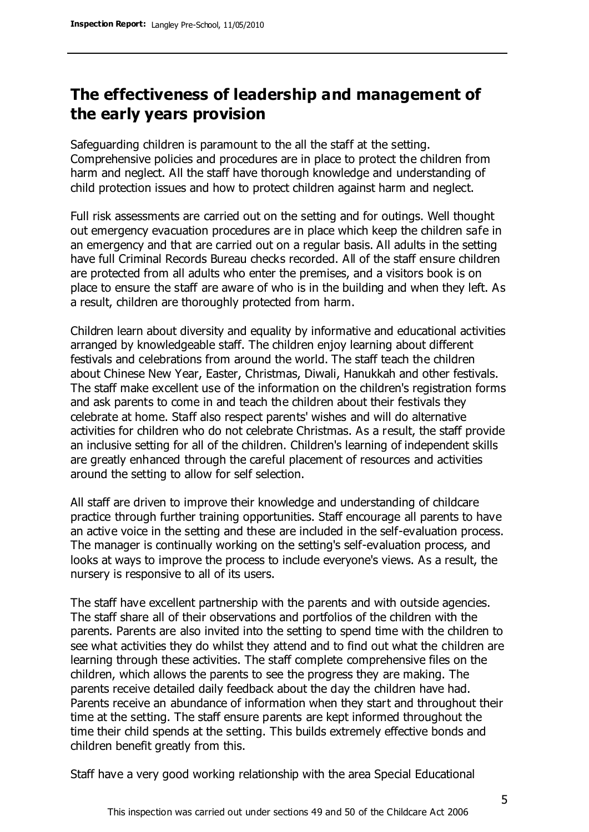# **The effectiveness of leadership and management of the early years provision**

Safeguarding children is paramount to the all the staff at the setting. Comprehensive policies and procedures are in place to protect the children from harm and neglect. All the staff have thorough knowledge and understanding of child protection issues and how to protect children against harm and neglect.

Full risk assessments are carried out on the setting and for outings. Well thought out emergency evacuation procedures are in place which keep the children safe in an emergency and that are carried out on a regular basis. All adults in the setting have full Criminal Records Bureau checks recorded. All of the staff ensure children are protected from all adults who enter the premises, and a visitors book is on place to ensure the staff are aware of who is in the building and when they left. As a result, children are thoroughly protected from harm.

Children learn about diversity and equality by informative and educational activities arranged by knowledgeable staff. The children enjoy learning about different festivals and celebrations from around the world. The staff teach the children about Chinese New Year, Easter, Christmas, Diwali, Hanukkah and other festivals. The staff make excellent use of the information on the children's registration forms and ask parents to come in and teach the children about their festivals they celebrate at home. Staff also respect parents' wishes and will do alternative activities for children who do not celebrate Christmas. As a result, the staff provide an inclusive setting for all of the children. Children's learning of independent skills are greatly enhanced through the careful placement of resources and activities around the setting to allow for self selection.

All staff are driven to improve their knowledge and understanding of childcare practice through further training opportunities. Staff encourage all parents to have an active voice in the setting and these are included in the self-evaluation process. The manager is continually working on the setting's self-evaluation process, and looks at ways to improve the process to include everyone's views. As a result, the nursery is responsive to all of its users.

The staff have excellent partnership with the parents and with outside agencies. The staff share all of their observations and portfolios of the children with the parents. Parents are also invited into the setting to spend time with the children to see what activities they do whilst they attend and to find out what the children are learning through these activities. The staff complete comprehensive files on the children, which allows the parents to see the progress they are making. The parents receive detailed daily feedback about the day the children have had. Parents receive an abundance of information when they start and throughout their time at the setting. The staff ensure parents are kept informed throughout the time their child spends at the setting. This builds extremely effective bonds and children benefit greatly from this.

Staff have a very good working relationship with the area Special Educational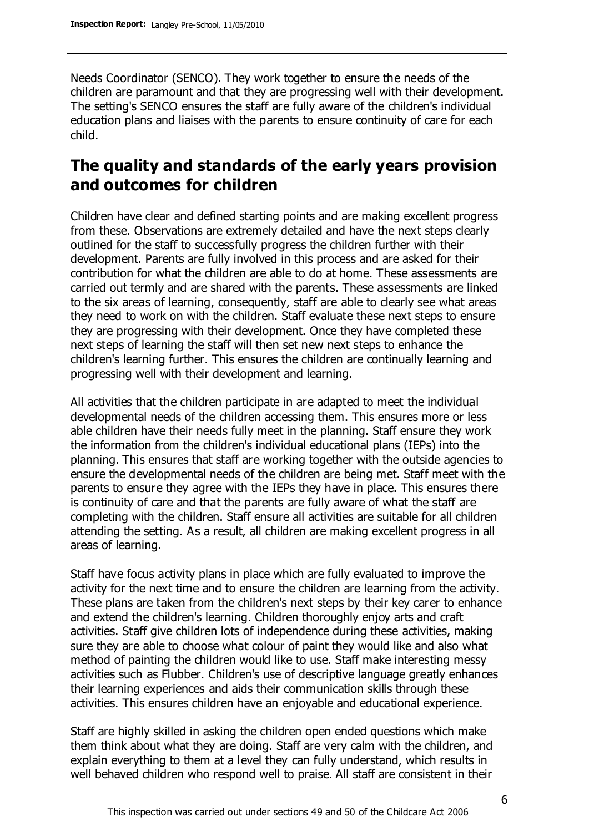Needs Coordinator (SENCO). They work together to ensure the needs of the children are paramount and that they are progressing well with their development. The setting's SENCO ensures the staff are fully aware of the children's individual education plans and liaises with the parents to ensure continuity of care for each child.

# **The quality and standards of the early years provision and outcomes for children**

Children have clear and defined starting points and are making excellent progress from these. Observations are extremely detailed and have the next steps clearly outlined for the staff to successfully progress the children further with their development. Parents are fully involved in this process and are asked for their contribution for what the children are able to do at home. These assessments are carried out termly and are shared with the parents. These assessments are linked to the six areas of learning, consequently, staff are able to clearly see what areas they need to work on with the children. Staff evaluate these next steps to ensure they are progressing with their development. Once they have completed these next steps of learning the staff will then set new next steps to enhance the children's learning further. This ensures the children are continually learning and progressing well with their development and learning.

All activities that the children participate in are adapted to meet the individual developmental needs of the children accessing them. This ensures more or less able children have their needs fully meet in the planning. Staff ensure they work the information from the children's individual educational plans (IEPs) into the planning. This ensures that staff are working together with the outside agencies to ensure the developmental needs of the children are being met. Staff meet with the parents to ensure they agree with the IEPs they have in place. This ensures there is continuity of care and that the parents are fully aware of what the staff are completing with the children. Staff ensure all activities are suitable for all children attending the setting. As a result, all children are making excellent progress in all areas of learning.

Staff have focus activity plans in place which are fully evaluated to improve the activity for the next time and to ensure the children are learning from the activity. These plans are taken from the children's next steps by their key carer to enhance and extend the children's learning. Children thoroughly enjoy arts and craft activities. Staff give children lots of independence during these activities, making sure they are able to choose what colour of paint they would like and also what method of painting the children would like to use. Staff make interesting messy activities such as Flubber. Children's use of descriptive language greatly enhances their learning experiences and aids their communication skills through these activities. This ensures children have an enjoyable and educational experience.

Staff are highly skilled in asking the children open ended questions which make them think about what they are doing. Staff are very calm with the children, and explain everything to them at a level they can fully understand, which results in well behaved children who respond well to praise. All staff are consistent in their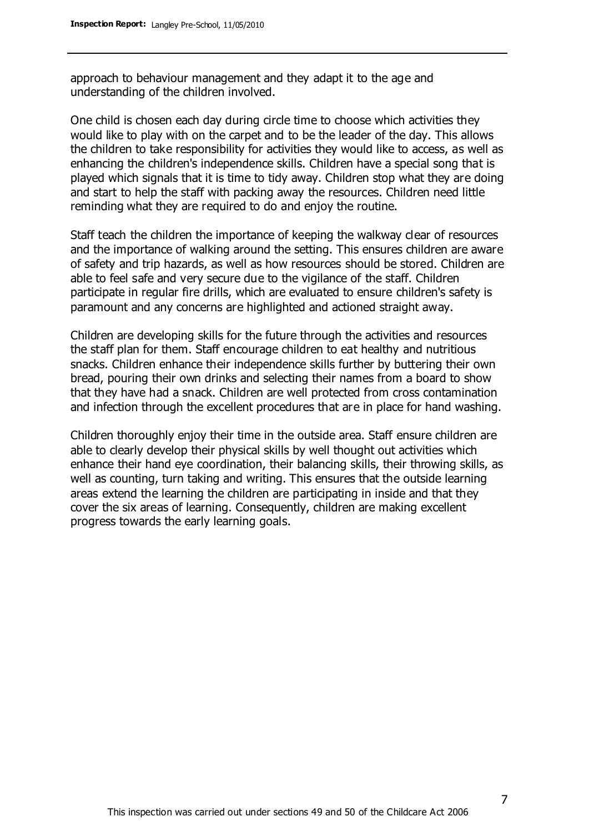approach to behaviour management and they adapt it to the age and understanding of the children involved.

One child is chosen each day during circle time to choose which activities they would like to play with on the carpet and to be the leader of the day. This allows the children to take responsibility for activities they would like to access, as well as enhancing the children's independence skills. Children have a special song that is played which signals that it is time to tidy away. Children stop what they are doing and start to help the staff with packing away the resources. Children need little reminding what they are required to do and enjoy the routine.

Staff teach the children the importance of keeping the walkway clear of resources and the importance of walking around the setting. This ensures children are aware of safety and trip hazards, as well as how resources should be stored. Children are able to feel safe and very secure due to the vigilance of the staff. Children participate in regular fire drills, which are evaluated to ensure children's safety is paramount and any concerns are highlighted and actioned straight away.

Children are developing skills for the future through the activities and resources the staff plan for them. Staff encourage children to eat healthy and nutritious snacks. Children enhance their independence skills further by buttering their own bread, pouring their own drinks and selecting their names from a board to show that they have had a snack. Children are well protected from cross contamination and infection through the excellent procedures that are in place for hand washing.

Children thoroughly enjoy their time in the outside area. Staff ensure children are able to clearly develop their physical skills by well thought out activities which enhance their hand eye coordination, their balancing skills, their throwing skills, as well as counting, turn taking and writing. This ensures that the outside learning areas extend the learning the children are participating in inside and that they cover the six areas of learning. Consequently, children are making excellent progress towards the early learning goals.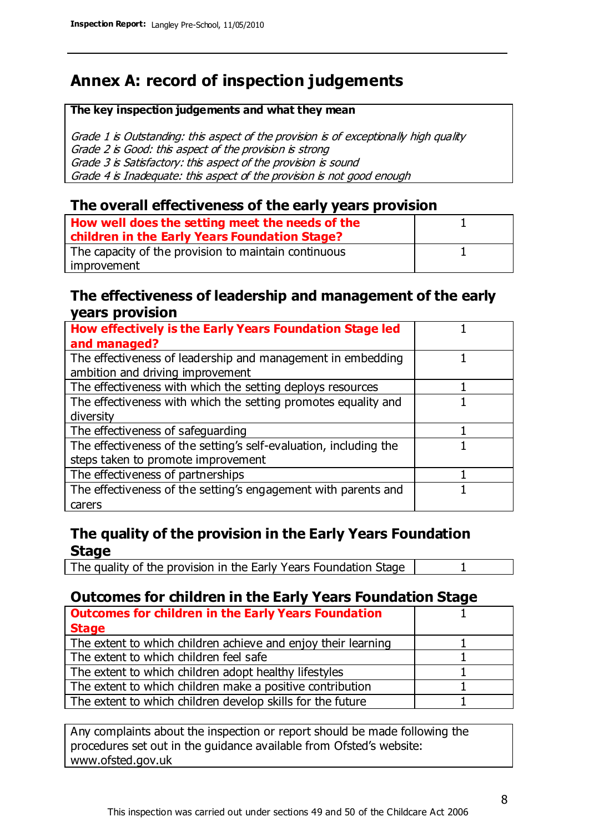# **Annex A: record of inspection judgements**

#### **The key inspection judgements and what they mean**

Grade 1 is Outstanding: this aspect of the provision is of exceptionally high quality Grade 2 is Good: this aspect of the provision is strong Grade 3 is Satisfactory: this aspect of the provision is sound Grade 4 is Inadequate: this aspect of the provision is not good enough

#### **The overall effectiveness of the early years provision**

| How well does the setting meet the needs of the<br>children in the Early Years Foundation Stage? |  |
|--------------------------------------------------------------------------------------------------|--|
| The capacity of the provision to maintain continuous                                             |  |
| improvement                                                                                      |  |

#### **The effectiveness of leadership and management of the early years provision**

| How effectively is the Early Years Foundation Stage led           |  |
|-------------------------------------------------------------------|--|
| and managed?                                                      |  |
| The effectiveness of leadership and management in embedding       |  |
| ambition and driving improvement                                  |  |
| The effectiveness with which the setting deploys resources        |  |
| The effectiveness with which the setting promotes equality and    |  |
| diversity                                                         |  |
| The effectiveness of safeguarding                                 |  |
| The effectiveness of the setting's self-evaluation, including the |  |
| steps taken to promote improvement                                |  |
| The effectiveness of partnerships                                 |  |
| The effectiveness of the setting's engagement with parents and    |  |
| carers                                                            |  |

### **The quality of the provision in the Early Years Foundation Stage**

The quality of the provision in the Early Years Foundation Stage | 1

## **Outcomes for children in the Early Years Foundation Stage**

| <b>Outcomes for children in the Early Years Foundation</b>    |  |
|---------------------------------------------------------------|--|
| <b>Stage</b>                                                  |  |
| The extent to which children achieve and enjoy their learning |  |
| The extent to which children feel safe                        |  |
| The extent to which children adopt healthy lifestyles         |  |
| The extent to which children make a positive contribution     |  |
| The extent to which children develop skills for the future    |  |

Any complaints about the inspection or report should be made following the procedures set out in the guidance available from Ofsted's website: www.ofsted.gov.uk